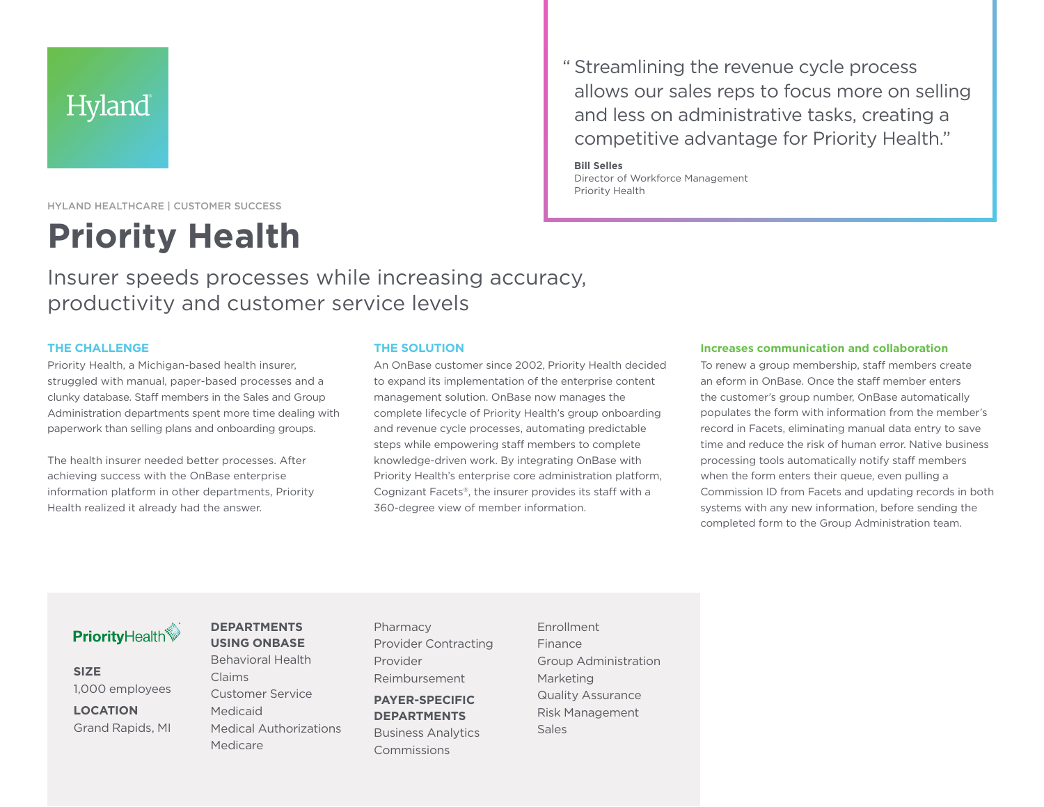## Hyland

HYLAND HEALTHCARE | CUSTOMER SUCCESS

# **Priority Health**

Insurer speeds processes while increasing accuracy, productivity and customer service levels

#### **THE CHALLENGE**

Priority Health, a Michigan-based health insurer, struggled with manual, paper-based processes and a clunky database. Staff members in the Sales and Group Administration departments spent more time dealing with paperwork than selling plans and onboarding groups.

The health insurer needed better processes. After achieving success with the OnBase enterprise information platform in other departments, Priority Health realized it already had the answer.

#### **THE SOLUTION**

An OnBase customer since 2002, Priority Health decided to expand its implementation of the enterprise content management solution. OnBase now manages the complete lifecycle of Priority Health's group onboarding and revenue cycle processes, automating predictable steps while empowering staff members to complete knowledge-driven work. By integrating OnBase with Priority Health's enterprise core administration platform, Cognizant Facets®, the insurer provides its staff with a 360-degree view of member information.

#### **Increases communication and collaboration**

To renew a group membership, staff members create an eform in OnBase. Once the staff member enters the customer's group number, OnBase automatically populates the form with information from the member's record in Facets, eliminating manual data entry to save time and reduce the risk of human error. Native business processing tools automatically notify staff members when the form enters their queue, even pulling a Commission ID from Facets and updating records in both systems with any new information, before sending the completed form to the Group Administration team.

### **PriorityHealth**

**SIZE** 1,000 employees

**LOCATION** Grand Rapids, MI

#### **DEPARTMENTS USING ONBASE**

Behavioral Health Claims Customer Service Medicaid Medical Authorizations Medicare

Pharmacy Provider Contracting Provider Reimbursement

**PAYER-SPECIFIC DEPARTMENTS** Business Analytics Commissions

Enrollment Finance Group Administration Marketing Quality Assurance Risk Management Sales

" Streamlining the revenue cycle process allows our sales reps to focus more on selling and less on administrative tasks, creating a competitive advantage for Priority Health."

**Bill Selles** Director of Workforce Management Priority Health